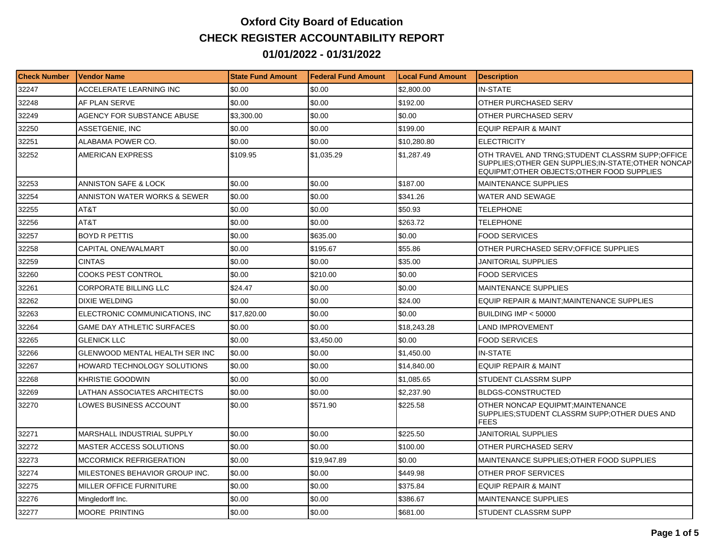## **Oxford City Board of Education CHECK REGISTER ACCOUNTABILITY REPORT 01/01/2022 - 01/31/2022**

| <b>Check Number</b> | <b>Vendor Name</b>                    | <b>State Fund Amount</b> | <b>Federal Fund Amount</b> | <b>Local Fund Amount</b> | <b>Description</b>                                                                                                                                   |
|---------------------|---------------------------------------|--------------------------|----------------------------|--------------------------|------------------------------------------------------------------------------------------------------------------------------------------------------|
| 32247               | ACCELERATE LEARNING INC               | \$0.00                   | \$0.00                     | \$2,800.00               | <b>IN-STATE</b>                                                                                                                                      |
| 32248               | AF PLAN SERVE                         | \$0.00                   | \$0.00                     | \$192.00                 | OTHER PURCHASED SERV                                                                                                                                 |
| 32249               | AGENCY FOR SUBSTANCE ABUSE            | \$3,300.00               | \$0.00                     | \$0.00                   | OTHER PURCHASED SERV                                                                                                                                 |
| 32250               | ASSETGENIE, INC                       | \$0.00                   | \$0.00                     | \$199.00                 | <b>EQUIP REPAIR &amp; MAINT</b>                                                                                                                      |
| 32251               | ALABAMA POWER CO.                     | \$0.00                   | \$0.00                     | \$10,280.80              | <b>ELECTRICITY</b>                                                                                                                                   |
| 32252               | <b>AMERICAN EXPRESS</b>               | \$109.95                 | \$1,035.29                 | \$1,287.49               | OTH TRAVEL AND TRNG:STUDENT CLASSRM SUPP:OFFICE<br>SUPPLIES; OTHER GEN SUPPLIES; IN-STATE; OTHER NONCAP<br>EQUIPMT;OTHER OBJECTS;OTHER FOOD SUPPLIES |
| 32253               | ANNISTON SAFE & LOCK                  | \$0.00                   | \$0.00                     | \$187.00                 | <b>MAINTENANCE SUPPLIES</b>                                                                                                                          |
| 32254               | ANNISTON WATER WORKS & SEWER          | \$0.00                   | \$0.00                     | \$341.26                 | WATER AND SEWAGE                                                                                                                                     |
| 32255               | AT&T                                  | \$0.00                   | \$0.00                     | \$50.93                  | <b>TELEPHONE</b>                                                                                                                                     |
| 32256               | AT&T                                  | \$0.00                   | \$0.00                     | \$263.72                 | <b>TELEPHONE</b>                                                                                                                                     |
| 32257               | <b>BOYD R PETTIS</b>                  | \$0.00                   | \$635.00                   | \$0.00                   | <b>FOOD SERVICES</b>                                                                                                                                 |
| 32258               | CAPITAL ONE/WALMART                   | \$0.00                   | \$195.67                   | \$55.86                  | OTHER PURCHASED SERV; OF FICE SUPPLIES                                                                                                               |
| 32259               | <b>CINTAS</b>                         | \$0.00                   | \$0.00                     | \$35.00                  | JANITORIAL SUPPLIES                                                                                                                                  |
| 32260               | <b>COOKS PEST CONTROL</b>             | \$0.00                   | \$210.00                   | \$0.00                   | <b>FOOD SERVICES</b>                                                                                                                                 |
| 32261               | <b>CORPORATE BILLING LLC</b>          | \$24.47                  | \$0.00                     | \$0.00                   | <b>MAINTENANCE SUPPLIES</b>                                                                                                                          |
| 32262               | <b>DIXIE WELDING</b>                  | \$0.00                   | \$0.00                     | \$24.00                  | EQUIP REPAIR & MAINT; MAINTENANCE SUPPLIES                                                                                                           |
| 32263               | ELECTRONIC COMMUNICATIONS. INC        | \$17,820,00              | \$0.00                     | \$0.00                   | BUILDING IMP $<$ 50000                                                                                                                               |
| 32264               | <b>GAME DAY ATHLETIC SURFACES</b>     | \$0.00                   | \$0.00                     | \$18,243.28              | LAND IMPROVEMENT                                                                                                                                     |
| 32265               | <b>GLENICK LLC</b>                    | \$0.00                   | \$3,450.00                 | \$0.00                   | <b>FOOD SERVICES</b>                                                                                                                                 |
| 32266               | <b>GLENWOOD MENTAL HEALTH SER INC</b> | \$0.00                   | \$0.00                     | \$1,450.00               | <b>IN-STATE</b>                                                                                                                                      |
| 32267               | <b>HOWARD TECHNOLOGY SOLUTIONS</b>    | \$0.00                   | \$0.00                     | \$14,840.00              | <b>EQUIP REPAIR &amp; MAINT</b>                                                                                                                      |
| 32268               | KHRISTIE GOODWIN                      | \$0.00                   | \$0.00                     | \$1.085.65               | STUDENT CLASSRM SUPP                                                                                                                                 |
| 32269               | LATHAN ASSOCIATES ARCHITECTS          | \$0.00                   | \$0.00                     | \$2,237.90               | <b>BLDGS-CONSTRUCTED</b>                                                                                                                             |
| 32270               | LOWES BUSINESS ACCOUNT                | \$0.00                   | \$571.90                   | \$225.58                 | OTHER NONCAP EQUIPMT; MAINTENANCE<br>SUPPLIES: STUDENT CLASSRM SUPP: OTHER DUES AND<br><b>FEES</b>                                                   |
| 32271               | <b>MARSHALL INDUSTRIAL SUPPLY</b>     | \$0.00                   | \$0.00                     | \$225.50                 | JANITORIAL SUPPLIES                                                                                                                                  |
| 32272               | <b>MASTER ACCESS SOLUTIONS</b>        | \$0.00                   | \$0.00                     | \$100.00                 | OTHER PURCHASED SERV                                                                                                                                 |
| 32273               | <b>MCCORMICK REFRIGERATION</b>        | \$0.00                   | \$19,947.89                | \$0.00                   | MAINTENANCE SUPPLIES; OTHER FOOD SUPPLIES                                                                                                            |
| 32274               | MILESTONES BEHAVIOR GROUP INC.        | \$0.00                   | \$0.00                     | \$449.98                 | OTHER PROF SERVICES                                                                                                                                  |
| 32275               | MILLER OFFICE FURNITURE               | \$0.00                   | \$0.00                     | \$375.84                 | EQUIP REPAIR & MAINT                                                                                                                                 |
| 32276               | Mingledorff Inc.                      | \$0.00                   | \$0.00                     | \$386.67                 | <b>MAINTENANCE SUPPLIES</b>                                                                                                                          |
| 32277               | MOORE PRINTING                        | \$0.00                   | \$0.00                     | \$681.00                 | STUDENT CLASSRM SUPP                                                                                                                                 |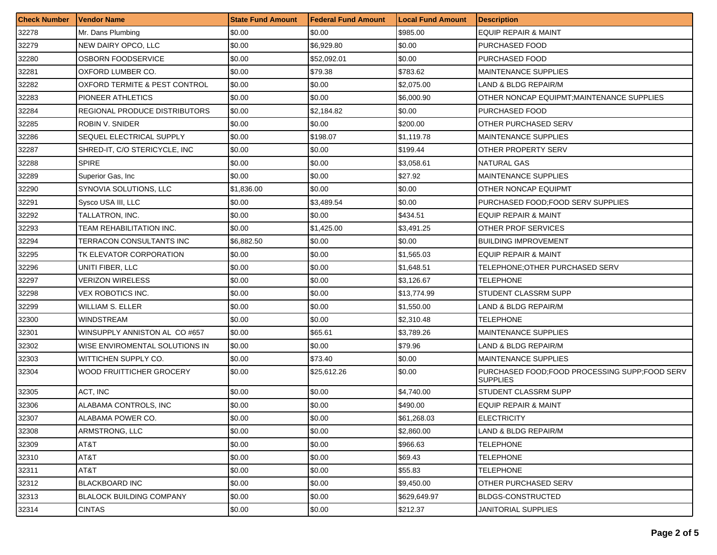| <b>Check Number</b> | Vendor Name                     | <b>State Fund Amount</b> | <b>Federal Fund Amount</b> | <b>Local Fund Amount</b> | <b>Description</b>                                                 |
|---------------------|---------------------------------|--------------------------|----------------------------|--------------------------|--------------------------------------------------------------------|
| 32278               | Mr. Dans Plumbing               | \$0.00                   | \$0.00                     | \$985.00                 | <b>EQUIP REPAIR &amp; MAINT</b>                                    |
| 32279               | NEW DAIRY OPCO, LLC             | \$0.00                   | \$6,929.80                 | \$0.00                   | PURCHASED FOOD                                                     |
| 32280               | OSBORN FOODSERVICE              | \$0.00                   | \$52,092.01                | \$0.00                   | PURCHASED FOOD                                                     |
| 32281               | OXFORD LUMBER CO.               | \$0.00                   | \$79.38                    | \$783.62                 | <b>MAINTENANCE SUPPLIES</b>                                        |
| 32282               | OXFORD TERMITE & PEST CONTROL   | \$0.00                   | \$0.00                     | \$2,075.00               | LAND & BLDG REPAIR/M                                               |
| 32283               | PIONEER ATHLETICS               | \$0.00                   | \$0.00                     | \$6,000.90               | OTHER NONCAP EQUIPMT, MAINTENANCE SUPPLIES                         |
| 32284               | REGIONAL PRODUCE DISTRIBUTORS   | \$0.00                   | \$2,184.82                 | \$0.00                   | PURCHASED FOOD                                                     |
| 32285               | ROBIN V. SNIDER                 | \$0.00                   | \$0.00                     | \$200.00                 | OTHER PURCHASED SERV                                               |
| 32286               | SEQUEL ELECTRICAL SUPPLY        | \$0.00                   | \$198.07                   | \$1,119.78               | <b>MAINTENANCE SUPPLIES</b>                                        |
| 32287               | SHRED-IT, C/O STERICYCLE, INC   | \$0.00                   | \$0.00                     | \$199.44                 | OTHER PROPERTY SERV                                                |
| 32288               | <b>SPIRE</b>                    | \$0.00                   | \$0.00                     | \$3,058.61               | <b>NATURAL GAS</b>                                                 |
| 32289               | Superior Gas, Inc.              | \$0.00                   | \$0.00                     | \$27.92                  | <b>MAINTENANCE SUPPLIES</b>                                        |
| 32290               | SYNOVIA SOLUTIONS, LLC          | \$1,836.00               | \$0.00                     | \$0.00                   | <b>OTHER NONCAP EQUIPMT</b>                                        |
| 32291               | Sysco USA III, LLC              | \$0.00                   | \$3,489.54                 | \$0.00                   | PURCHASED FOOD; FOOD SERV SUPPLIES                                 |
| 32292               | TALLATRON, INC.                 | \$0.00                   | \$0.00                     | \$434.51                 | <b>EQUIP REPAIR &amp; MAINT</b>                                    |
| 32293               | TEAM REHABILITATION INC.        | \$0.00                   | \$1,425.00                 | \$3,491.25               | OTHER PROF SERVICES                                                |
| 32294               | TERRACON CONSULTANTS INC        | \$6,882.50               | \$0.00                     | \$0.00                   | <b>BUILDING IMPROVEMENT</b>                                        |
| 32295               | TK ELEVATOR CORPORATION         | \$0.00                   | \$0.00                     | \$1.565.03               | EQUIP REPAIR & MAINT                                               |
| 32296               | UNITI FIBER, LLC                | \$0.00                   | \$0.00                     | \$1,648.51               | TELEPHONE; OTHER PURCHASED SERV                                    |
| 32297               | VERIZON WIRELESS                | \$0.00                   | \$0.00                     | \$3,126.67               | TELEPHONE                                                          |
| 32298               | VEX ROBOTICS INC.               | \$0.00                   | \$0.00                     | \$13,774.99              | STUDENT CLASSRM SUPP                                               |
| 32299               | <b>WILLIAM S. ELLER</b>         | \$0.00                   | \$0.00                     | \$1,550.00               | LAND & BLDG REPAIR/M                                               |
| 32300               | <b>WINDSTREAM</b>               | \$0.00                   | \$0.00                     | \$2,310.48               | TELEPHONE                                                          |
| 32301               | WINSUPPLY ANNISTON AL CO#657    | \$0.00                   | \$65.61                    | \$3,789.26               | <b>MAINTENANCE SUPPLIES</b>                                        |
| 32302               | WISE ENVIROMENTAL SOLUTIONS IN  | \$0.00                   | \$0.00                     | \$79.96                  | LAND & BLDG REPAIR/M                                               |
| 32303               | WITTICHEN SUPPLY CO.            | \$0.00                   | \$73.40                    | \$0.00                   | <b>MAINTENANCE SUPPLIES</b>                                        |
| 32304               | WOOD FRUITTICHER GROCERY        | \$0.00                   | \$25,612.26                | \$0.00                   | PURCHASED FOOD; FOOD PROCESSING SUPP; FOOD SERV<br><b>SUPPLIES</b> |
| 32305               | ACT, INC                        | \$0.00                   | \$0.00                     | \$4,740.00               | STUDENT CLASSRM SUPP                                               |
| 32306               | ALABAMA CONTROLS, INC           | \$0.00                   | \$0.00                     | \$490.00                 | <b>EQUIP REPAIR &amp; MAINT</b>                                    |
| 32307               | ALABAMA POWER CO.               | \$0.00                   | \$0.00                     | \$61,268.03              | <b>ELECTRICITY</b>                                                 |
| 32308               | ARMSTRONG, LLC                  | \$0.00                   | \$0.00                     | \$2,860.00               | LAND & BLDG REPAIR/M                                               |
| 32309               | AT&T                            | \$0.00                   | \$0.00                     | \$966.63                 | TELEPHONE                                                          |
| 32310               | AT&T                            | \$0.00                   | \$0.00                     | \$69.43                  | TELEPHONE                                                          |
| 32311               | AT&T                            | \$0.00                   | \$0.00                     | \$55.83                  | TELEPHONE                                                          |
| 32312               | <b>BLACKBOARD INC</b>           | \$0.00                   | \$0.00                     | \$9,450.00               | OTHER PURCHASED SERV                                               |
| 32313               | <b>BLALOCK BUILDING COMPANY</b> | \$0.00                   | \$0.00                     | \$629.649.97             | <b>BLDGS-CONSTRUCTED</b>                                           |
| 32314               | <b>CINTAS</b>                   | \$0.00                   | \$0.00                     | \$212.37                 | <b>JANITORIAL SUPPLIES</b>                                         |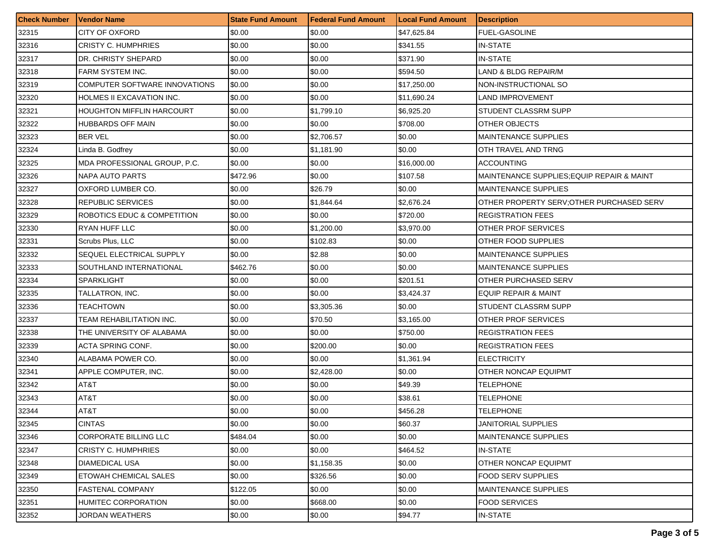| <b>Check Number</b> | <b>Vendor Name</b>               | <b>State Fund Amount</b> | Federal Fund Amount | <b>Local Fund Amount</b> | <b>Description</b>                         |
|---------------------|----------------------------------|--------------------------|---------------------|--------------------------|--------------------------------------------|
| 32315               | <b>CITY OF OXFORD</b>            | \$0.00                   | \$0.00              | \$47,625.84              | <b>FUEL-GASOLINE</b>                       |
| 32316               | <b>CRISTY C. HUMPHRIES</b>       | \$0.00                   | \$0.00              | \$341.55                 | IN-STATE                                   |
| 32317               | DR. CHRISTY SHEPARD              | \$0.00                   | \$0.00              | \$371.90                 | IN-STATE                                   |
| 32318               | FARM SYSTEM INC.                 | \$0.00                   | \$0.00              | \$594.50                 | LAND & BLDG REPAIR/M                       |
| 32319               | COMPUTER SOFTWARE INNOVATIONS    | \$0.00                   | \$0.00              | \$17,250.00              | NON-INSTRUCTIONAL SO                       |
| 32320               | HOLMES II EXCAVATION INC.        | \$0.00                   | \$0.00              | \$11,690.24              | LAND IMPROVEMENT                           |
| 32321               | <b>HOUGHTON MIFFLIN HARCOURT</b> | \$0.00                   | \$1,799.10          | \$6,925.20               | STUDENT CLASSRM SUPP                       |
| 32322               | <b>HUBBARDS OFF MAIN</b>         | \$0.00                   | \$0.00              | \$708.00                 | OTHER OBJECTS                              |
| 32323               | <b>BER VEL</b>                   | \$0.00                   | \$2,706.57          | \$0.00                   | <b>MAINTENANCE SUPPLIES</b>                |
| 32324               | Linda B. Godfrey                 | \$0.00                   | \$1,181.90          | \$0.00                   | OTH TRAVEL AND TRNG                        |
| 32325               | MDA PROFESSIONAL GROUP, P.C.     | \$0.00                   | \$0.00              | \$16,000.00              | ACCOUNTING                                 |
| 32326               | NAPA AUTO PARTS                  | \$472.96                 | \$0.00              | \$107.58                 | MAINTENANCE SUPPLIES; EQUIP REPAIR & MAINT |
| 32327               | OXFORD LUMBER CO.                | \$0.00                   | \$26.79             | \$0.00                   | <b>MAINTENANCE SUPPLIES</b>                |
| 32328               | <b>REPUBLIC SERVICES</b>         | \$0.00                   | \$1,844.64          | \$2,676.24               | OTHER PROPERTY SERV; OTHER PURCHASED SERV  |
| 32329               | ROBOTICS EDUC & COMPETITION      | \$0.00                   | \$0.00              | \$720.00                 | <b>REGISTRATION FEES</b>                   |
| 32330               | RYAN HUFF LLC                    | \$0.00                   | \$1,200.00          | \$3,970.00               | OTHER PROF SERVICES                        |
| 32331               | Scrubs Plus, LLC                 | \$0.00                   | \$102.83            | \$0.00                   | OTHER FOOD SUPPLIES                        |
| 32332               | SEQUEL ELECTRICAL SUPPLY         | \$0.00                   | \$2.88              | \$0.00                   | <b>MAINTENANCE SUPPLIES</b>                |
| 32333               | SOUTHLAND INTERNATIONAL          | \$462.76                 | \$0.00              | \$0.00                   | <b>MAINTENANCE SUPPLIES</b>                |
| 32334               | SPARKLIGHT                       | \$0.00                   | \$0.00              | \$201.51                 | OTHER PURCHASED SERV                       |
| 32335               | TALLATRON, INC.                  | \$0.00                   | $\$0.00$            | \$3,424.37               | <b>EQUIP REPAIR &amp; MAINT</b>            |
| 32336               | TEACHTOWN                        | \$0.00                   | \$3,305.36          | \$0.00                   | STUDENT CLASSRM SUPP                       |
| 32337               | TEAM REHABILITATION INC.         | \$0.00                   | \$70.50             | \$3,165.00               | OTHER PROF SERVICES                        |
| 32338               | THE UNIVERSITY OF ALABAMA        | \$0.00                   | \$0.00              | \$750.00                 | <b>REGISTRATION FEES</b>                   |
| 32339               | ACTA SPRING CONF.                | \$0.00                   | \$200.00            | \$0.00                   | <b>REGISTRATION FEES</b>                   |
| 32340               | ALABAMA POWER CO.                | \$0.00                   | $\$0.00$            | \$1,361.94               | <b>ELECTRICITY</b>                         |
| 32341               | APPLE COMPUTER, INC.             | \$0.00                   | \$2,428.00          | \$0.00                   | OTHER NONCAP EQUIPMT                       |
| 32342               | AT&T                             | \$0.00                   | \$0.00              | \$49.39                  | TELEPHONE                                  |
| 32343               | AT&T                             | \$0.00                   | \$0.00              | \$38.61                  | <b>TELEPHONE</b>                           |
| 32344               | AT8T                             | \$0.00                   | \$0.00              | \$456.28                 | TELEPHONE                                  |
| 32345               | <b>CINTAS</b>                    | \$0.00                   | \$0.00              | \$60.37                  | <b>JANITORIAL SUPPLIES</b>                 |
| 32346               | <b>CORPORATE BILLING LLC</b>     | \$484.04                 | \$0.00              | \$0.00                   | <b>MAINTENANCE SUPPLIES</b>                |
| 32347               | <b>CRISTY C. HUMPHRIES</b>       | \$0.00                   | \$0.00              | \$464.52                 | <b>IN-STATE</b>                            |
| 32348               | <b>DIAMEDICAL USA</b>            | \$0.00                   | \$1,158.35          | \$0.00                   | OTHER NONCAP EQUIPMT                       |
| 32349               | <b>ETOWAH CHEMICAL SALES</b>     | \$0.00                   | \$326.56            | \$0.00                   | <b>FOOD SERV SUPPLIES</b>                  |
| 32350               | <b>FASTENAL COMPANY</b>          | \$122.05                 | \$0.00              | \$0.00                   | <b>MAINTENANCE SUPPLIES</b>                |
| 32351               | <b>HUMITEC CORPORATION</b>       | \$0.00                   | \$668.00            | \$0.00                   | <b>FOOD SERVICES</b>                       |
| 32352               | <b>JORDAN WEATHERS</b>           | \$0.00                   | \$0.00              | \$94.77                  | IN-STATE                                   |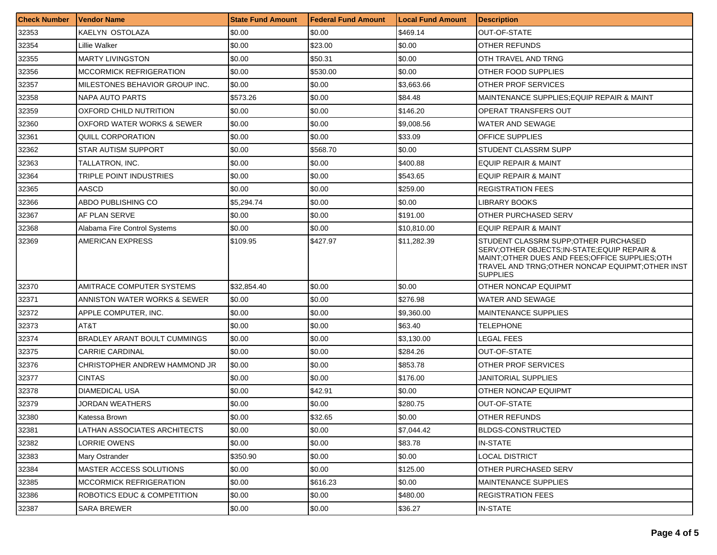| <b>Check Number</b> | <b>Vendor Name</b>             | <b>State Fund Amount</b> | <b>Federal Fund Amount</b> | <b>Local Fund Amount</b> | <b>Description</b>                                                                                                                                                                                                 |
|---------------------|--------------------------------|--------------------------|----------------------------|--------------------------|--------------------------------------------------------------------------------------------------------------------------------------------------------------------------------------------------------------------|
| 32353               | KAELYN OSTOLAZA                | \$0.00                   | \$0.00                     | \$469.14                 | <b>OUT-OF-STATE</b>                                                                                                                                                                                                |
| 32354               | Lillie Walker                  | \$0.00                   | \$23.00                    | \$0.00                   | OTHER REFUNDS                                                                                                                                                                                                      |
| 32355               | <b>MARTY LIVINGSTON</b>        | \$0.00                   | \$50.31                    | \$0.00                   | OTH TRAVEL AND TRNG                                                                                                                                                                                                |
| 32356               | <b>MCCORMICK REFRIGERATION</b> | \$0.00                   | \$530.00                   | \$0.00                   | OTHER FOOD SUPPLIES                                                                                                                                                                                                |
| 32357               | MILESTONES BEHAVIOR GROUP INC. | \$0.00                   | \$0.00                     | \$3,663.66               | OTHER PROF SERVICES                                                                                                                                                                                                |
| 32358               | NAPA AUTO PARTS                | \$573.26                 | \$0.00                     | \$84.48                  | MAINTENANCE SUPPLIES; EQUIP REPAIR & MAINT                                                                                                                                                                         |
| 32359               | OXFORD CHILD NUTRITION         | \$0.00                   | \$0.00                     | \$146.20                 | OPERAT TRANSFERS OUT                                                                                                                                                                                               |
| 32360               | OXFORD WATER WORKS & SEWER     | \$0.00                   | \$0.00                     | \$9,008.56               | WATER AND SEWAGE                                                                                                                                                                                                   |
| 32361               | QUILL CORPORATION              | \$0.00                   | \$0.00                     | \$33.09                  | <b>OFFICE SUPPLIES</b>                                                                                                                                                                                             |
| 32362               | STAR AUTISM SUPPORT            | \$0.00                   | \$568.70                   | \$0.00                   | STUDENT CLASSRM SUPP                                                                                                                                                                                               |
| 32363               | TALLATRON, INC.                | \$0.00                   | \$0.00                     | \$400.88                 | <b>EQUIP REPAIR &amp; MAINT</b>                                                                                                                                                                                    |
| 32364               | TRIPLE POINT INDUSTRIES        | \$0.00                   | \$0.00                     | \$543.65                 | <b>EQUIP REPAIR &amp; MAINT</b>                                                                                                                                                                                    |
| 32365               | AASCD                          | \$0.00                   | \$0.00                     | \$259.00                 | <b>REGISTRATION FEES</b>                                                                                                                                                                                           |
| 32366               | ABDO PUBLISHING CO             | \$5,294.74               | \$0.00                     | \$0.00                   | <b>LIBRARY BOOKS</b>                                                                                                                                                                                               |
| 32367               | AF PLAN SERVE                  | \$0.00                   | \$0.00                     | \$191.00                 | OTHER PURCHASED SERV                                                                                                                                                                                               |
| 32368               | Alabama Fire Control Systems   | \$0.00                   | \$0.00                     | \$10,810.00              | <b>EQUIP REPAIR &amp; MAINT</b>                                                                                                                                                                                    |
| 32369               | AMERICAN EXPRESS               | \$109.95                 | \$427.97                   | \$11,282.39              | STUDENT CLASSRM SUPP: OTHER PURCHASED<br>SERV: OTHER OBJECTS: IN-STATE: EQUIP REPAIR &<br>MAINT; OTHER DUES AND FEES; OFFICE SUPPLIES; OTH<br>TRAVEL AND TRNG; OTHER NONCAP EQUIPMT; OTHER INST<br><b>SUPPLIES</b> |
| 32370               | AMITRACE COMPUTER SYSTEMS      | \$32,854.40              | \$0.00                     | \$0.00                   | <b>OTHER NONCAP EQUIPMT</b>                                                                                                                                                                                        |
| 32371               | ANNISTON WATER WORKS & SEWER   | \$0.00                   | \$0.00                     | \$276.98                 | <b>WATER AND SEWAGE</b>                                                                                                                                                                                            |
| 32372               | APPLE COMPUTER, INC.           | \$0.00                   | \$0.00                     | \$9,360.00               | <b>MAINTENANCE SUPPLIES</b>                                                                                                                                                                                        |
| 32373               | AT&T                           | \$0.00                   | \$0.00                     | \$63.40                  | <b>TELEPHONE</b>                                                                                                                                                                                                   |
| 32374               | BRADLEY ARANT BOULT CUMMINGS   | \$0.00                   | \$0.00                     | \$3,130.00               | LEGAL FEES                                                                                                                                                                                                         |
| 32375               | <b>CARRIE CARDINAL</b>         | \$0.00                   | \$0.00                     | \$284.26                 | OUT-OF-STATE                                                                                                                                                                                                       |
| 32376               | CHRISTOPHER ANDREW HAMMOND JR  | \$0.00                   | \$0.00                     | \$853.78                 | OTHER PROF SERVICES                                                                                                                                                                                                |
| 32377               | <b>CINTAS</b>                  | \$0.00                   | \$0.00                     | \$176.00                 | JANITORIAL SUPPLIES                                                                                                                                                                                                |
| 32378               | <b>DIAMEDICAL USA</b>          | \$0.00                   | \$42.91                    | \$0.00                   | <b>OTHER NONCAP EQUIPMT</b>                                                                                                                                                                                        |
| 32379               | JORDAN WEATHERS                | \$0.00                   | \$0.00                     | \$280.75                 | OUT-OF-STATE                                                                                                                                                                                                       |
| 32380               | Katessa Brown                  | \$0.00                   | \$32.65                    | \$0.00                   | <b>OTHER REFUNDS</b>                                                                                                                                                                                               |
| 32381               | LATHAN ASSOCIATES ARCHITECTS   | \$0.00                   | \$0.00                     | \$7,044.42               | <b>BLDGS-CONSTRUCTED</b>                                                                                                                                                                                           |
| 32382               | LORRIE OWENS                   | \$0.00                   | \$0.00                     | \$83.78                  | <b>IN-STATE</b>                                                                                                                                                                                                    |
| 32383               | Mary Ostrander                 | \$350.90                 | \$0.00                     | \$0.00                   | <b>LOCAL DISTRICT</b>                                                                                                                                                                                              |
| 32384               | MASTER ACCESS SOLUTIONS        | \$0.00                   | \$0.00                     | \$125.00                 | OTHER PURCHASED SERV                                                                                                                                                                                               |
| 32385               | <b>MCCORMICK REFRIGERATION</b> | \$0.00                   | \$616.23                   | \$0.00                   | <b>MAINTENANCE SUPPLIES</b>                                                                                                                                                                                        |
| 32386               | ROBOTICS EDUC & COMPETITION    | \$0.00                   | \$0.00                     | \$480.00                 | <b>REGISTRATION FEES</b>                                                                                                                                                                                           |
| 32387               | SARA BREWER                    | \$0.00                   | \$0.00                     | \$36.27                  | <b>IN-STATE</b>                                                                                                                                                                                                    |